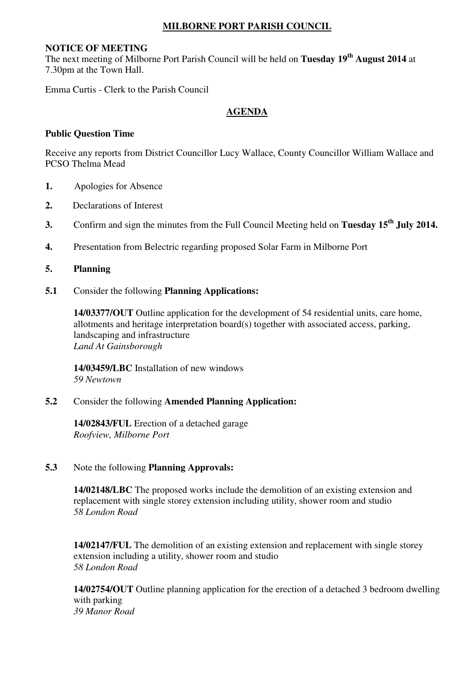### **MILBORNE PORT PARISH COUNCIL**

#### **NOTICE OF MEETING**

The next meeting of Milborne Port Parish Council will be held on **Tuesday 19th August 2014** at 7.30pm at the Town Hall.

Emma Curtis - Clerk to the Parish Council

## **AGENDA**

### **Public Question Time**

Receive any reports from District Councillor Lucy Wallace, County Councillor William Wallace and PCSO Thelma Mead

- **1.** Apologies for Absence
- **2.** Declarations of Interest
- **3.** Confirm and sign the minutes from the Full Council Meeting held on **Tuesday 15th July 2014.**
- **4.** Presentation from Belectric regarding proposed Solar Farm in Milborne Port

## **5. Planning**

**5.1** Consider the following **Planning Applications:** 

 **14/03377/OUT** Outline application for the development of 54 residential units, care home, allotments and heritage interpretation board(s) together with associated access, parking, landscaping and infrastructure *Land At Gainsborough* 

**14/03459/LBC** Installation of new windows *59 Newtown* 

#### **5.2** Consider the following **Amended Planning Application:**

 **14/02843/FUL** Erection of a detached garage *Roofview, Milborne Port* 

## **5.3** Note the following **Planning Approvals:**

 **14/02148/LBC** The proposed works include the demolition of an existing extension and replacement with single storey extension including utility, shower room and studio *58 London Road* 

**14/02147/FUL** The demolition of an existing extension and replacement with single storey extension including a utility, shower room and studio *58 London Road* 

**14/02754/OUT** Outline planning application for the erection of a detached 3 bedroom dwelling with parking *39 Manor Road*